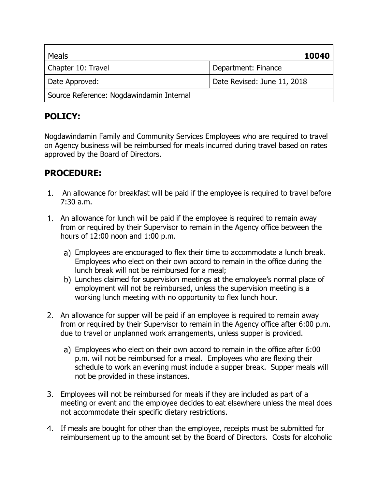| Meals                                    | 10040                       |
|------------------------------------------|-----------------------------|
| Chapter 10: Travel                       | Department: Finance         |
| Date Approved:                           | Date Revised: June 11, 2018 |
| Source Reference: Nogdawindamin Internal |                             |

## **POLICY:**

Nogdawindamin Family and Community Services Employees who are required to travel on Agency business will be reimbursed for meals incurred during travel based on rates approved by the Board of Directors.

## **PROCEDURE:**

- An allowance for breakfast will be paid if the employee is required to travel before 7:30 a.m.
- An allowance for lunch will be paid if the employee is required to remain away from or required by their Supervisor to remain in the Agency office between the hours of 12:00 noon and 1:00 p.m.
	- a) Employees are encouraged to flex their time to accommodate a lunch break. Employees who elect on their own accord to remain in the office during the lunch break will not be reimbursed for a meal;
	- b) Lunches claimed for supervision meetings at the employee's normal place of employment will not be reimbursed, unless the supervision meeting is a working lunch meeting with no opportunity to flex lunch hour.
- An allowance for supper will be paid if an employee is required to remain away from or required by their Supervisor to remain in the Agency office after 6:00 p.m. due to travel or unplanned work arrangements, unless supper is provided.
	- Employees who elect on their own accord to remain in the office after 6:00 p.m. will not be reimbursed for a meal. Employees who are flexing their schedule to work an evening must include a supper break. Supper meals will not be provided in these instances.
- Employees will not be reimbursed for meals if they are included as part of a meeting or event and the employee decides to eat elsewhere unless the meal does not accommodate their specific dietary restrictions.
- If meals are bought for other than the employee, receipts must be submitted for reimbursement up to the amount set by the Board of Directors. Costs for alcoholic